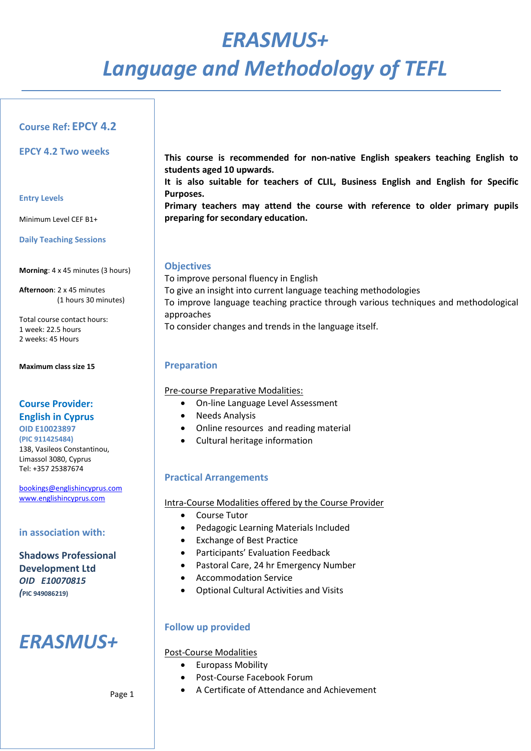# *ERASMUS+ Language and Methodology of TEFL*

# **Course Ref: EPCY 4.2**

**EPCY 4.2 Two weeks**

#### **Entry Levels**

Minimum Level CEF B1+

**Daily Teaching Sessions**

**Morning**: 4 x 45 minutes (3 hours)

**Afternoon**: 2 x 45 minutes (1 hours 30 minutes)

Total course contact hours: 1 week: 22.5 hours 2 weeks: 45 Hours

**Maximum class size 15**

# **Course Provider: English in Cyprus**

**OID E10023897 (PIC 911425484)**  138, Vasileos Constantinou, Limassol 3080, Cyprus Tel: +357 25387674

[bookings@englishincyprus.com](mailto:bookings@englishincyprus.com)  [www.englishincyprus.com](http://www.englishincyprus.com/) 

## **in association with:**

**Shadows Professional Development Ltd** *OID E10070815 (***PIC 949086219)**

# *ERASMUS+*

**This course is recommended for non-native English speakers teaching English to students aged 10 upwards.**

**It is also suitable for teachers of CLIL, Business English and English for Specific Purposes.** 

**Primary teachers may attend the course with reference to older primary pupils preparing for secondary education.**

## **Objectives**

To improve personal fluency in English To give an insight into current language teaching methodologies To improve language teaching practice through various techniques and methodological approaches To consider changes and trends in the language itself.

# **Preparation**

Pre-course Preparative Modalities:

- On-line Language Level Assessment
- Needs Analysis
- Online resources and reading material
- Cultural heritage information

# **Practical Arrangements**

## Intra-Course Modalities offered by the Course Provider

- Course Tutor
- Pedagogic Learning Materials Included
- Exchange of Best Practice
- Participants' Evaluation Feedback
- Pastoral Care, 24 hr Emergency Number
- Accommodation Service
- Optional Cultural Activities and Visits

# **Follow up provided**

## Post-Course Modalities

- Europass Mobility
- Post-Course Facebook Forum
- A Certificate of Attendance and Achievement

Page 1